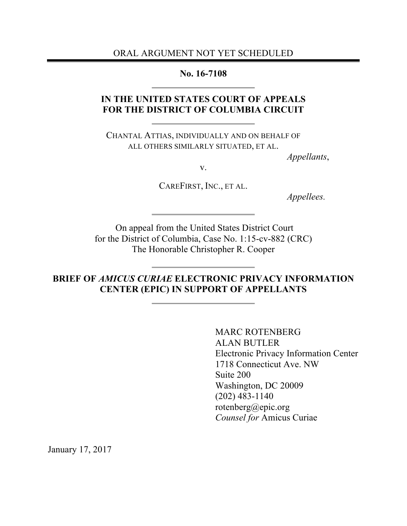ORAL ARGUMENT NOT YET SCHEDULED

**No. 16-7108**

# **IN THE UNITED STATES COURT OF APPEALS FOR THE DISTRICT OF COLUMBIA CIRCUIT**

CHANTAL ATTIAS, INDIVIDUALLY AND ON BEHALF OF ALL OTHERS SIMILARLY SITUATED, ET AL.

*Appellants*,

v.

CAREFIRST, INC., ET AL.

*Appellees.*

On appeal from the United States District Court for the District of Columbia, Case No. 1:15-cv-882 (CRC) The Honorable Christopher R. Cooper

**BRIEF OF** *AMICUS CURIAE* **ELECTRONIC PRIVACY INFORMATION CENTER (EPIC) IN SUPPORT OF APPELLANTS**

> MARC ROTENBERG ALAN BUTLER Electronic Privacy Information Center 1718 Connecticut Ave. NW Suite 200 Washington, DC 20009 (202) 483-1140 rotenberg@epic.org *Counsel for* Amicus Curiae

January 17, 2017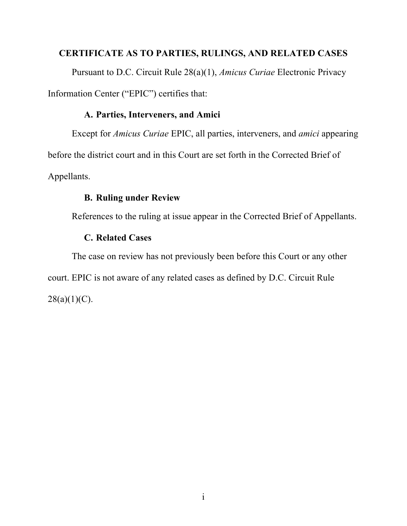# **CERTIFICATE AS TO PARTIES, RULINGS, AND RELATED CASES**

Pursuant to D.C. Circuit Rule 28(a)(1), *Amicus Curiae* Electronic Privacy Information Center ("EPIC") certifies that:

# **A. Parties, Interveners, and Amici**

Except for *Amicus Curiae* EPIC, all parties, interveners, and *amici* appearing before the district court and in this Court are set forth in the Corrected Brief of Appellants.

# **B. Ruling under Review**

References to the ruling at issue appear in the Corrected Brief of Appellants.

# **C. Related Cases**

The case on review has not previously been before this Court or any other court. EPIC is not aware of any related cases as defined by D.C. Circuit Rule  $28(a)(1)(C)$ .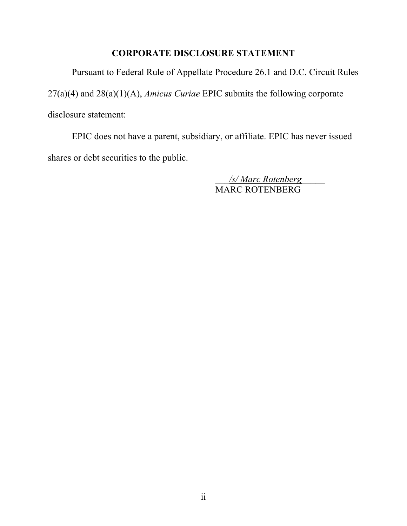# **CORPORATE DISCLOSURE STATEMENT**

Pursuant to Federal Rule of Appellate Procedure 26.1 and D.C. Circuit Rules 27(a)(4) and 28(a)(1)(A), *Amicus Curiae* EPIC submits the following corporate disclosure statement:

EPIC does not have a parent, subsidiary, or affiliate. EPIC has never issued shares or debt securities to the public.

> \_\_\_*/s/ Marc Rotenberg*\_\_\_\_\_ MARC ROTENBERG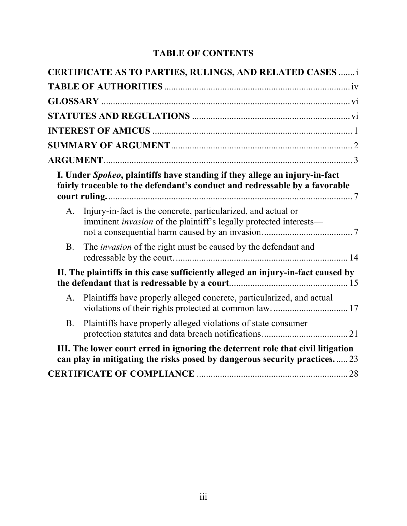# **TABLE OF CONTENTS**

|             | <b>CERTIFICATE AS TO PARTIES, RULINGS, AND RELATED CASES </b> i                                                                                              |  |
|-------------|--------------------------------------------------------------------------------------------------------------------------------------------------------------|--|
|             |                                                                                                                                                              |  |
|             |                                                                                                                                                              |  |
|             |                                                                                                                                                              |  |
|             |                                                                                                                                                              |  |
|             |                                                                                                                                                              |  |
|             |                                                                                                                                                              |  |
|             | I. Under Spokeo, plaintiffs have standing if they allege an injury-in-fact<br>fairly traceable to the defendant's conduct and redressable by a favorable     |  |
| $A_{\cdot}$ | Injury-in-fact is the concrete, particularized, and actual or<br>imminent <i>invasion</i> of the plaintiff's legally protected interests—                    |  |
| <b>B</b> .  | The <i>invasion</i> of the right must be caused by the defendant and                                                                                         |  |
|             | II. The plaintiffs in this case sufficiently alleged an injury-in-fact caused by                                                                             |  |
| A.          | Plaintiffs have properly alleged concrete, particularized, and actual                                                                                        |  |
| <b>B</b> .  | Plaintiffs have properly alleged violations of state consumer                                                                                                |  |
|             | III. The lower court erred in ignoring the deterrent role that civil litigation<br>can play in mitigating the risks posed by dangerous security practices 23 |  |
|             |                                                                                                                                                              |  |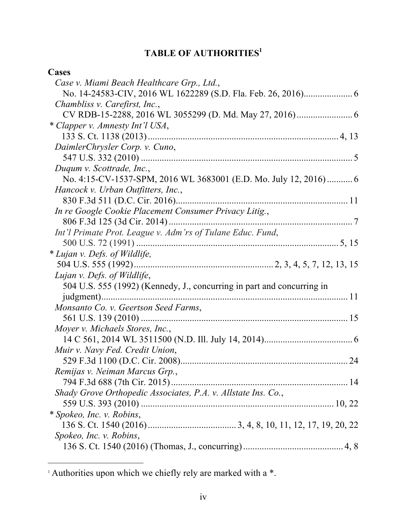# **TABLE OF AUTHORITIES1**

# **Cases**

 $\overline{a}$ 

| Case v. Miami Beach Healthcare Grp., Ltd.,                             |  |
|------------------------------------------------------------------------|--|
|                                                                        |  |
| Chambliss v. Carefirst, Inc.,                                          |  |
|                                                                        |  |
| * Clapper v. Amnesty Int'l USA,                                        |  |
|                                                                        |  |
| DaimlerChrysler Corp. v. Cuno,                                         |  |
|                                                                        |  |
| Duqum v. Scottrade, Inc.,                                              |  |
| No. 4:15-CV-1537-SPM, 2016 WL 3683001 (E.D. Mo. July 12, 2016) 6       |  |
| Hancock v. Urban Outfitters, Inc.,                                     |  |
|                                                                        |  |
| In re Google Cookie Placement Consumer Privacy Litig.,                 |  |
|                                                                        |  |
| Int'l Primate Prot. League v. Adm'rs of Tulane Educ. Fund,             |  |
|                                                                        |  |
| * Lujan v. Defs. of Wildlife,                                          |  |
|                                                                        |  |
| Lujan v. Defs. of Wildlife,                                            |  |
| 504 U.S. 555 (1992) (Kennedy, J., concurring in part and concurring in |  |
|                                                                        |  |
| Monsanto Co. v. Geertson Seed Farms,                                   |  |
|                                                                        |  |
| Moyer v. Michaels Stores, Inc.,                                        |  |
|                                                                        |  |
| Muir v. Navy Fed. Credit Union,                                        |  |
|                                                                        |  |
| Remijas v. Neiman Marcus Grp.,                                         |  |
|                                                                        |  |
| Shady Grove Orthopedic Associates, P.A. v. Allstate Ins. Co.,          |  |
|                                                                        |  |
| * Spokeo, Inc. v. Robins,                                              |  |
|                                                                        |  |
| Spokeo, Inc. v. Robins,                                                |  |
|                                                                        |  |

 $\frac{1}{1}$  Authorities upon which we chiefly rely are marked with a  $\ast$ .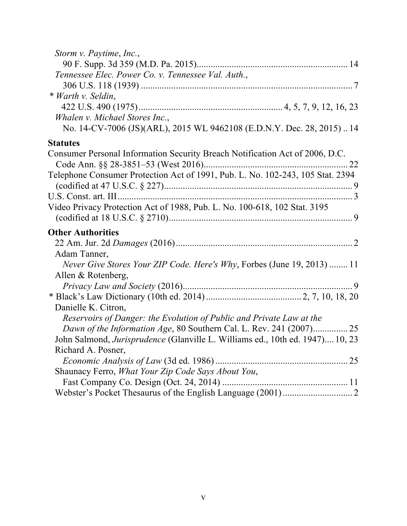| Storm v. Paytime, Inc.,                                                              |  |
|--------------------------------------------------------------------------------------|--|
|                                                                                      |  |
| Tennessee Elec. Power Co. v. Tennessee Val. Auth.,                                   |  |
|                                                                                      |  |
| * Warth v. Seldin,                                                                   |  |
|                                                                                      |  |
| Whalen v. Michael Stores Inc.,                                                       |  |
| No. 14-CV-7006 (JS)(ARL), 2015 WL 9462108 (E.D.N.Y. Dec. 28, 2015)14                 |  |
| <b>Statutes</b>                                                                      |  |
| Consumer Personal Information Security Breach Notification Act of 2006, D.C.         |  |
|                                                                                      |  |
| Telephone Consumer Protection Act of 1991, Pub. L. No. 102-243, 105 Stat. 2394       |  |
|                                                                                      |  |
| Video Privacy Protection Act of 1988, Pub. L. No. 100-618, 102 Stat. 3195            |  |
|                                                                                      |  |
| <b>Other Authorities</b>                                                             |  |
|                                                                                      |  |
| Adam Tanner,                                                                         |  |
| Never Give Stores Your ZIP Code. Here's Why, Forbes (June 19, 2013)  11              |  |
| Allen & Rotenberg,                                                                   |  |
|                                                                                      |  |
|                                                                                      |  |
| Danielle K. Citron,                                                                  |  |
| Reservoirs of Danger: the Evolution of Public and Private Law at the                 |  |
| Dawn of the Information Age, 80 Southern Cal. L. Rev. 241 (2007) 25                  |  |
| John Salmond, <i>Jurisprudence</i> (Glanville L. Williams ed., 10th ed. 1947) 10, 23 |  |
| Richard A. Posner,                                                                   |  |
|                                                                                      |  |
| Shaunacy Ferro, What Your Zip Code Says About You,                                   |  |
|                                                                                      |  |
|                                                                                      |  |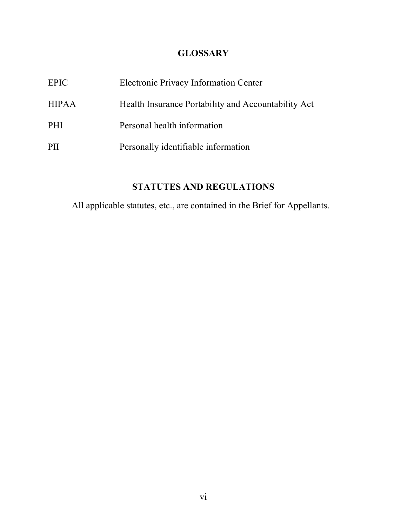# **GLOSSARY**

| EPIC         | <b>Electronic Privacy Information Center</b>        |
|--------------|-----------------------------------------------------|
| <b>HIPAA</b> | Health Insurance Portability and Accountability Act |
| <b>PHI</b>   | Personal health information                         |
| PH           | Personally identifiable information                 |

# **STATUTES AND REGULATIONS**

All applicable statutes, etc., are contained in the Brief for Appellants.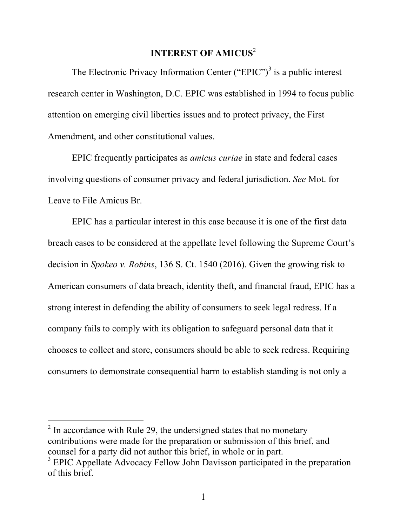# **INTEREST OF AMICUS**<sup>2</sup>

The Electronic Privacy Information Center ("EPIC")<sup>3</sup> is a public interest research center in Washington, D.C. EPIC was established in 1994 to focus public attention on emerging civil liberties issues and to protect privacy, the First Amendment, and other constitutional values.

EPIC frequently participates as *amicus curiae* in state and federal cases involving questions of consumer privacy and federal jurisdiction. *See* Mot. for Leave to File Amicus Br.

EPIC has a particular interest in this case because it is one of the first data breach cases to be considered at the appellate level following the Supreme Court's decision in *Spokeo v. Robins*, 136 S. Ct. 1540 (2016). Given the growing risk to American consumers of data breach, identity theft, and financial fraud, EPIC has a strong interest in defending the ability of consumers to seek legal redress. If a company fails to comply with its obligation to safeguard personal data that it chooses to collect and store, consumers should be able to seek redress. Requiring consumers to demonstrate consequential harm to establish standing is not only a

 $\overline{a}$ 

 $2 \text{ In accordance with Rule 29, the undersigned states that no monetary}$ contributions were made for the preparation or submission of this brief, and counsel for a party did not author this brief, in whole or in part.

<sup>&</sup>lt;sup>3</sup> EPIC Appellate Advocacy Fellow John Davisson participated in the preparation of this brief.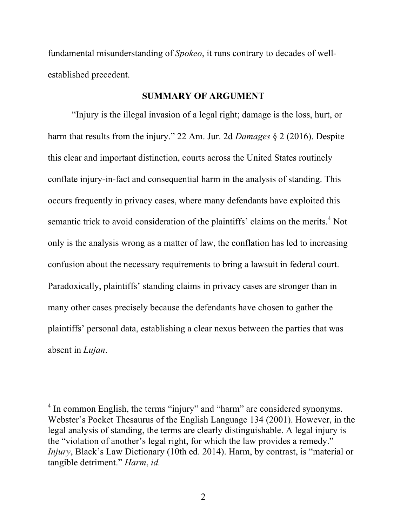fundamental misunderstanding of *Spokeo*, it runs contrary to decades of wellestablished precedent.

### **SUMMARY OF ARGUMENT**

"Injury is the illegal invasion of a legal right; damage is the loss, hurt, or harm that results from the injury." 22 Am. Jur. 2d *Damages* § 2 (2016). Despite this clear and important distinction, courts across the United States routinely conflate injury-in-fact and consequential harm in the analysis of standing. This occurs frequently in privacy cases, where many defendants have exploited this semantic trick to avoid consideration of the plaintiffs' claims on the merits.<sup>4</sup> Not only is the analysis wrong as a matter of law, the conflation has led to increasing confusion about the necessary requirements to bring a lawsuit in federal court. Paradoxically, plaintiffs' standing claims in privacy cases are stronger than in many other cases precisely because the defendants have chosen to gather the plaintiffs' personal data, establishing a clear nexus between the parties that was absent in *Lujan*.

 $\overline{a}$ 

 $<sup>4</sup>$  In common English, the terms "injury" and "harm" are considered synonyms.</sup> Webster's Pocket Thesaurus of the English Language 134 (2001). However, in the legal analysis of standing, the terms are clearly distinguishable. A legal injury is the "violation of another's legal right, for which the law provides a remedy." *Injury*, Black's Law Dictionary (10th ed. 2014). Harm, by contrast, is "material or tangible detriment." *Harm*, *id.*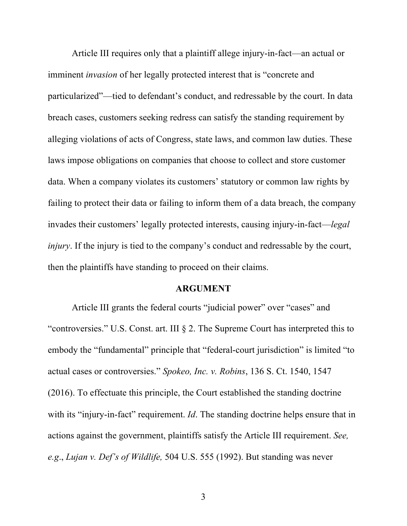Article III requires only that a plaintiff allege injury-in-fact—an actual or imminent *invasion* of her legally protected interest that is "concrete and particularized"—tied to defendant's conduct, and redressable by the court. In data breach cases, customers seeking redress can satisfy the standing requirement by alleging violations of acts of Congress, state laws, and common law duties. These laws impose obligations on companies that choose to collect and store customer data. When a company violates its customers' statutory or common law rights by failing to protect their data or failing to inform them of a data breach, the company invades their customers' legally protected interests, causing injury-in-fact—*legal injury*. If the injury is tied to the company's conduct and redressable by the court, then the plaintiffs have standing to proceed on their claims.

#### **ARGUMENT**

Article III grants the federal courts "judicial power" over "cases" and "controversies." U.S. Const. art. III § 2. The Supreme Court has interpreted this to embody the "fundamental" principle that "federal-court jurisdiction" is limited "to actual cases or controversies." *Spokeo, Inc. v. Robins*, 136 S. Ct. 1540, 1547 (2016). To effectuate this principle, the Court established the standing doctrine with its "injury-in-fact" requirement. *Id*. The standing doctrine helps ensure that in actions against the government, plaintiffs satisfy the Article III requirement. *See, e.g*., *Lujan v. Def's of Wildlife,* 504 U.S. 555 (1992). But standing was never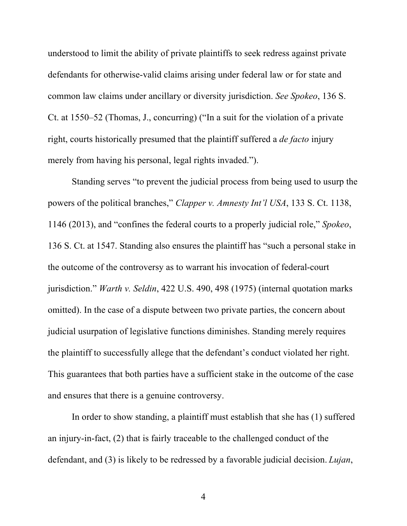understood to limit the ability of private plaintiffs to seek redress against private defendants for otherwise-valid claims arising under federal law or for state and common law claims under ancillary or diversity jurisdiction. *See Spokeo*, 136 S. Ct. at 1550–52 (Thomas, J., concurring) ("In a suit for the violation of a private right, courts historically presumed that the plaintiff suffered a *de facto* injury merely from having his personal, legal rights invaded.").

Standing serves "to prevent the judicial process from being used to usurp the powers of the political branches," *Clapper v. Amnesty Int'l USA*, 133 S. Ct. 1138, 1146 (2013), and "confines the federal courts to a properly judicial role," *Spokeo*, 136 S. Ct. at 1547. Standing also ensures the plaintiff has "such a personal stake in the outcome of the controversy as to warrant his invocation of federal-court jurisdiction." *Warth v. Seldin*, 422 U.S. 490, 498 (1975) (internal quotation marks omitted). In the case of a dispute between two private parties, the concern about judicial usurpation of legislative functions diminishes. Standing merely requires the plaintiff to successfully allege that the defendant's conduct violated her right. This guarantees that both parties have a sufficient stake in the outcome of the case and ensures that there is a genuine controversy.

In order to show standing, a plaintiff must establish that she has (1) suffered an injury-in-fact, (2) that is fairly traceable to the challenged conduct of the defendant, and (3) is likely to be redressed by a favorable judicial decision. *Lujan*,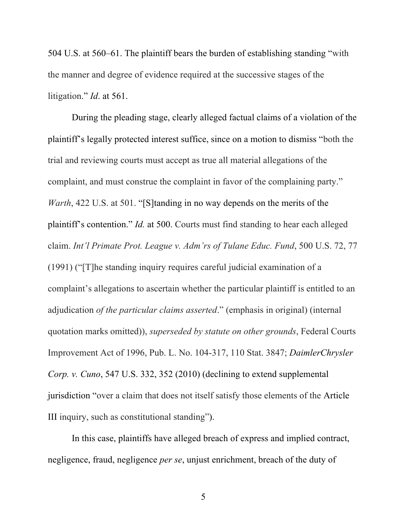504 U.S. at 560–61. The plaintiff bears the burden of establishing standing "with the manner and degree of evidence required at the successive stages of the litigation." *Id*. at 561.

During the pleading stage, clearly alleged factual claims of a violation of the plaintiff's legally protected interest suffice, since on a motion to dismiss "both the trial and reviewing courts must accept as true all material allegations of the complaint, and must construe the complaint in favor of the complaining party." *Warth*, 422 U.S. at 501. "[S]tanding in no way depends on the merits of the plaintiff's contention." *Id.* at 500. Courts must find standing to hear each alleged claim. *Int'l Primate Prot. League v. Adm'rs of Tulane Educ. Fund*, 500 U.S. 72, 77 (1991) ("[T]he standing inquiry requires careful judicial examination of a complaint's allegations to ascertain whether the particular plaintiff is entitled to an adjudication *of the particular claims asserted*." (emphasis in original) (internal quotation marks omitted)), *superseded by statute on other grounds*, Federal Courts Improvement Act of 1996, Pub. L. No. 104-317, 110 Stat. 3847; *DaimlerChrysler Corp. v. Cuno*, 547 U.S. 332, 352 (2010) (declining to extend supplemental jurisdiction "over a claim that does not itself satisfy those elements of the Article III inquiry, such as constitutional standing").

In this case, plaintiffs have alleged breach of express and implied contract, negligence, fraud, negligence *per se*, unjust enrichment, breach of the duty of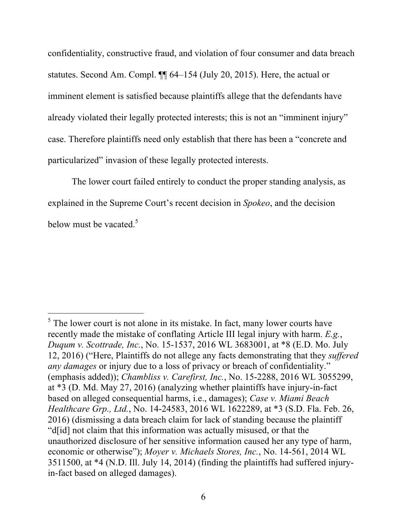confidentiality, constructive fraud, and violation of four consumer and data breach statutes. Second Am. Compl. ¶¶ 64–154 (July 20, 2015). Here, the actual or imminent element is satisfied because plaintiffs allege that the defendants have already violated their legally protected interests; this is not an "imminent injury" case. Therefore plaintiffs need only establish that there has been a "concrete and particularized" invasion of these legally protected interests.

The lower court failed entirely to conduct the proper standing analysis, as explained in the Supreme Court's recent decision in *Spokeo*, and the decision below must be vacated.<sup>5</sup>

 $\overline{a}$ 

 $<sup>5</sup>$  The lower court is not alone in its mistake. In fact, many lower courts have</sup> recently made the mistake of conflating Article III legal injury with harm. *E.g.*, *Duqum v. Scottrade, Inc.*, No. 15-1537, 2016 WL 3683001, at \*8 (E.D. Mo. July 12, 2016) ("Here, Plaintiffs do not allege any facts demonstrating that they *suffered any damages* or injury due to a loss of privacy or breach of confidentiality." (emphasis added)); *Chambliss v. Carefirst, Inc.*, No. 15-2288, 2016 WL 3055299, at \*3 (D. Md. May 27, 2016) (analyzing whether plaintiffs have injury-in-fact based on alleged consequential harms, i.e., damages); *Case v. Miami Beach Healthcare Grp., Ltd.*, No. 14-24583, 2016 WL 1622289, at \*3 (S.D. Fla. Feb. 26, 2016) (dismissing a data breach claim for lack of standing because the plaintiff "d[id] not claim that this information was actually misused, or that the unauthorized disclosure of her sensitive information caused her any type of harm, economic or otherwise"); *Moyer v. Michaels Stores, Inc.*, No. 14-561, 2014 WL 3511500, at \*4 (N.D. Ill. July 14, 2014) (finding the plaintiffs had suffered injuryin-fact based on alleged damages).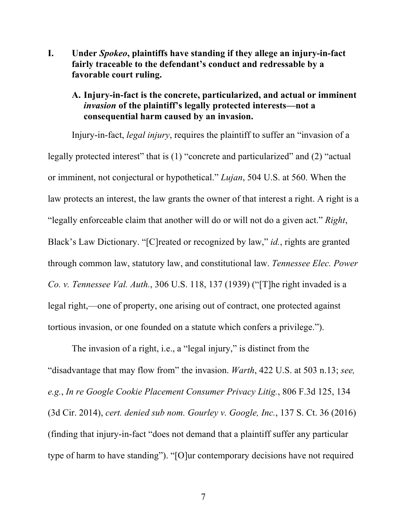**I. Under** *Spokeo***, plaintiffs have standing if they allege an injury-in-fact fairly traceable to the defendant's conduct and redressable by a favorable court ruling.**

## **A. Injury-in-fact is the concrete, particularized, and actual or imminent**  *invasion* **of the plaintiff's legally protected interests—not a consequential harm caused by an invasion.**

Injury-in-fact, *legal injury*, requires the plaintiff to suffer an "invasion of a legally protected interest" that is (1) "concrete and particularized" and (2) "actual or imminent, not conjectural or hypothetical." *Lujan*, 504 U.S. at 560. When the law protects an interest, the law grants the owner of that interest a right. A right is a "legally enforceable claim that another will do or will not do a given act." *Right*, Black's Law Dictionary. "[C]reated or recognized by law," *id.*, rights are granted through common law, statutory law, and constitutional law. *Tennessee Elec. Power Co. v. Tennessee Val. Auth.*, 306 U.S. 118, 137 (1939) ("[T]he right invaded is a legal right,—one of property, one arising out of contract, one protected against tortious invasion, or one founded on a statute which confers a privilege.").

The invasion of a right, i.e., a "legal injury," is distinct from the "disadvantage that may flow from" the invasion. *Warth*, 422 U.S. at 503 n.13; *see, e.g.*, *In re Google Cookie Placement Consumer Privacy Litig.*, 806 F.3d 125, 134 (3d Cir. 2014), *cert. denied sub nom. Gourley v. Google, Inc.*, 137 S. Ct. 36 (2016) (finding that injury-in-fact "does not demand that a plaintiff suffer any particular type of harm to have standing"). "[O]ur contemporary decisions have not required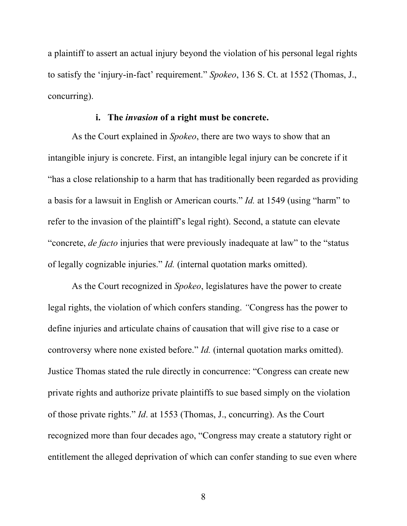a plaintiff to assert an actual injury beyond the violation of his personal legal rights to satisfy the 'injury-in-fact' requirement." *Spokeo*, 136 S. Ct. at 1552 (Thomas, J., concurring).

### **i. The** *invasion* **of a right must be concrete.**

As the Court explained in *Spokeo*, there are two ways to show that an intangible injury is concrete. First, an intangible legal injury can be concrete if it "has a close relationship to a harm that has traditionally been regarded as providing a basis for a lawsuit in English or American courts." *Id.* at 1549 (using "harm" to refer to the invasion of the plaintiff's legal right). Second, a statute can elevate "concrete, *de facto* injuries that were previously inadequate at law" to the "status of legally cognizable injuries." *Id.* (internal quotation marks omitted).

As the Court recognized in *Spokeo*, legislatures have the power to create legal rights, the violation of which confers standing. *"*Congress has the power to define injuries and articulate chains of causation that will give rise to a case or controversy where none existed before." *Id.* (internal quotation marks omitted). Justice Thomas stated the rule directly in concurrence: "Congress can create new private rights and authorize private plaintiffs to sue based simply on the violation of those private rights." *Id*. at 1553 (Thomas, J., concurring). As the Court recognized more than four decades ago, "Congress may create a statutory right or entitlement the alleged deprivation of which can confer standing to sue even where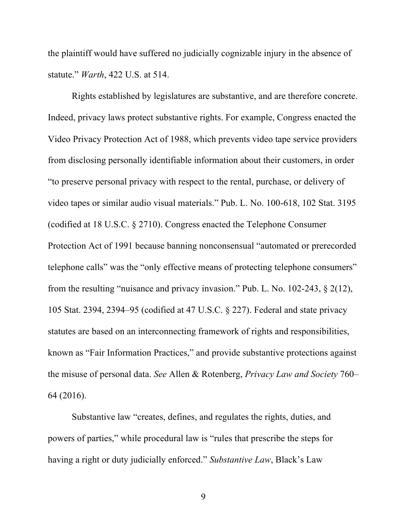the plaintiff would have suffered no judicially cognizable injury in the absence of statute." *Warth*, 422 U.S. at 514.

Rights established by legislatures are substantive, and are therefore concrete. Indeed, privacy laws protect substantive rights. For example, Congress enacted the Video Privacy Protection Act of 1988, which prevents video tape service providers from disclosing personally identifiable information about their customers, in order "to preserve personal privacy with respect to the rental, purchase, or delivery of video tapes or similar audio visual materials." Pub. L. No. 100-618, 102 Stat. 3195 (codified at 18 U.S.C. § 2710). Congress enacted the Telephone Consumer Protection Act of 1991 because banning nonconsensual "automated or prerecorded telephone calls" was the "only effective means of protecting telephone consumers" from the resulting "nuisance and privacy invasion." Pub. L. No. 102-243, § 2(12), 105 Stat. 2394, 2394–95 (codified at 47 U.S.C. § 227). Federal and state privacy statutes are based on an interconnecting framework of rights and responsibilities, known as "Fair Information Practices," and provide substantive protections against the misuse of personal data. *See* Allen & Rotenberg, *Privacy Law and Society* 760– 64 (2016).

Substantive law "creates, defines, and regulates the rights, duties, and powers of parties," while procedural law is "rules that prescribe the steps for having a right or duty judicially enforced." *Substantive Law*, Black's Law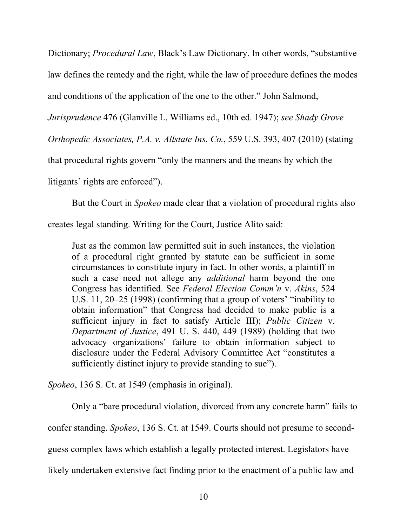Dictionary; *Procedural Law*, Black's Law Dictionary. In other words, "substantive law defines the remedy and the right, while the law of procedure defines the modes

and conditions of the application of the one to the other." John Salmond,

*Jurisprudence* 476 (Glanville L. Williams ed., 10th ed. 1947); *see Shady Grove* 

*Orthopedic Associates, P.A. v. Allstate Ins. Co.*, 559 U.S. 393, 407 (2010) (stating

that procedural rights govern "only the manners and the means by which the

litigants' rights are enforced").

But the Court in *Spokeo* made clear that a violation of procedural rights also

creates legal standing. Writing for the Court, Justice Alito said:

Just as the common law permitted suit in such instances, the violation of a procedural right granted by statute can be sufficient in some circumstances to constitute injury in fact. In other words, a plaintiff in such a case need not allege any *additional* harm beyond the one Congress has identified. See *Federal Election Comm'n* v. *Akins*, 524 U.S. 11, 20–25 (1998) (confirming that a group of voters' "inability to obtain information" that Congress had decided to make public is a sufficient injury in fact to satisfy Article III); *Public Citizen* v. *Department of Justice*, 491 U. S. 440, 449 (1989) (holding that two advocacy organizations' failure to obtain information subject to disclosure under the Federal Advisory Committee Act "constitutes a sufficiently distinct injury to provide standing to sue").

*Spokeo*, 136 S. Ct. at 1549 (emphasis in original).

Only a "bare procedural violation, divorced from any concrete harm" fails to

confer standing. *Spokeo*, 136 S. Ct. at 1549. Courts should not presume to second-

guess complex laws which establish a legally protected interest. Legislators have

likely undertaken extensive fact finding prior to the enactment of a public law and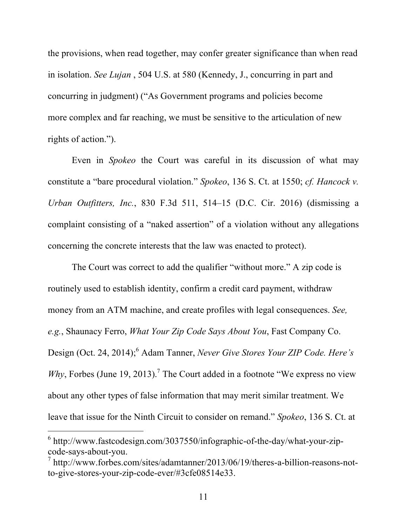the provisions, when read together, may confer greater significance than when read in isolation. *See Lujan* , 504 U.S. at 580 (Kennedy, J., concurring in part and concurring in judgment) ("As Government programs and policies become more complex and far reaching, we must be sensitive to the articulation of new rights of action.").

Even in *Spokeo* the Court was careful in its discussion of what may constitute a "bare procedural violation." *Spokeo*, 136 S. Ct. at 1550; *cf. Hancock v. Urban Outfitters, Inc.*, 830 F.3d 511, 514–15 (D.C. Cir. 2016) (dismissing a complaint consisting of a "naked assertion" of a violation without any allegations concerning the concrete interests that the law was enacted to protect).

The Court was correct to add the qualifier "without more." A zip code is routinely used to establish identity, confirm a credit card payment, withdraw money from an ATM machine, and create profiles with legal consequences. *See, e.g.*, Shaunacy Ferro, *What Your Zip Code Says About You*, Fast Company Co. Design (Oct. 24, 2014); <sup>6</sup> Adam Tanner, *Never Give Stores Your ZIP Code. Here's*  Why, Forbes (June 19, 2013).<sup>7</sup> The Court added in a footnote "We express no view about any other types of false information that may merit similar treatment. We leave that issue for the Ninth Circuit to consider on remand." *Spokeo*, 136 S. Ct. at

 $\overline{a}$ 

<sup>6</sup> http://www.fastcodesign.com/3037550/infographic-of-the-day/what-your-zipcode-says-about-you.

<sup>7</sup> http://www.forbes.com/sites/adamtanner/2013/06/19/theres-a-billion-reasons-notto-give-stores-your-zip-code-ever/#3cfe08514e33.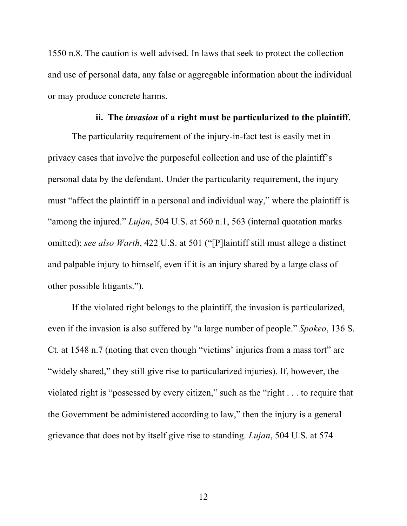1550 n.8. The caution is well advised. In laws that seek to protect the collection and use of personal data, any false or aggregable information about the individual or may produce concrete harms.

## **ii. The** *invasion* **of a right must be particularized to the plaintiff.**

The particularity requirement of the injury-in-fact test is easily met in privacy cases that involve the purposeful collection and use of the plaintiff's personal data by the defendant. Under the particularity requirement, the injury must "affect the plaintiff in a personal and individual way," where the plaintiff is "among the injured." *Lujan*, 504 U.S. at 560 n.1, 563 (internal quotation marks omitted); *see also Warth*, 422 U.S. at 501 ("[P]laintiff still must allege a distinct and palpable injury to himself, even if it is an injury shared by a large class of other possible litigants.").

If the violated right belongs to the plaintiff, the invasion is particularized, even if the invasion is also suffered by "a large number of people." *Spokeo*, 136 S. Ct. at 1548 n.7 (noting that even though "victims' injuries from a mass tort" are "widely shared," they still give rise to particularized injuries). If, however, the violated right is "possessed by every citizen," such as the "right . . . to require that the Government be administered according to law," then the injury is a general grievance that does not by itself give rise to standing. *Lujan*, 504 U.S. at 574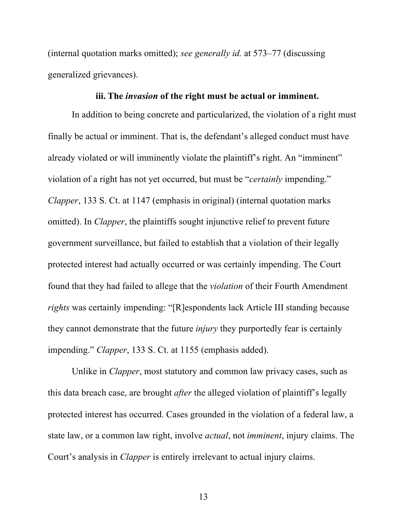(internal quotation marks omitted); *see generally id.* at 573–77 (discussing generalized grievances).

#### **iii. The** *invasion* **of the right must be actual or imminent.**

In addition to being concrete and particularized, the violation of a right must finally be actual or imminent. That is, the defendant's alleged conduct must have already violated or will imminently violate the plaintiff's right. An "imminent" violation of a right has not yet occurred, but must be "*certainly* impending." *Clapper*, 133 S. Ct. at 1147 (emphasis in original) (internal quotation marks omitted). In *Clapper*, the plaintiffs sought injunctive relief to prevent future government surveillance, but failed to establish that a violation of their legally protected interest had actually occurred or was certainly impending. The Court found that they had failed to allege that the *violation* of their Fourth Amendment *rights* was certainly impending: "[R]espondents lack Article III standing because they cannot demonstrate that the future *injury* they purportedly fear is certainly impending." *Clapper*, 133 S. Ct. at 1155 (emphasis added).

Unlike in *Clapper*, most statutory and common law privacy cases, such as this data breach case, are brought *after* the alleged violation of plaintiff's legally protected interest has occurred. Cases grounded in the violation of a federal law, a state law, or a common law right, involve *actual*, not *imminent*, injury claims. The Court's analysis in *Clapper* is entirely irrelevant to actual injury claims.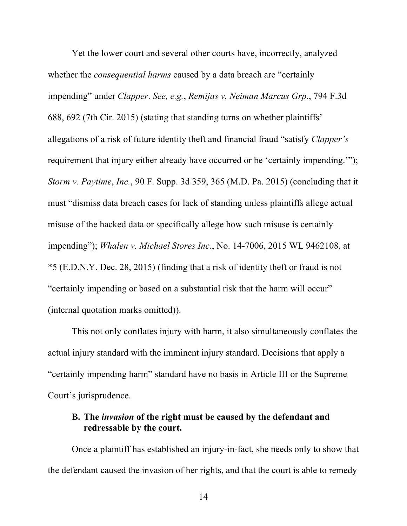Yet the lower court and several other courts have, incorrectly, analyzed whether the *consequential harms* caused by a data breach are "certainly impending" under *Clapper*. *See, e.g.*, *Remijas v. Neiman Marcus Grp.*, 794 F.3d 688, 692 (7th Cir. 2015) (stating that standing turns on whether plaintiffs' allegations of a risk of future identity theft and financial fraud "satisfy *Clapper's* requirement that injury either already have occurred or be 'certainly impending.'"); *Storm v. Paytime*, *Inc.*, 90 F. Supp. 3d 359, 365 (M.D. Pa. 2015) (concluding that it must "dismiss data breach cases for lack of standing unless plaintiffs allege actual misuse of the hacked data or specifically allege how such misuse is certainly impending"); *Whalen v. Michael Stores Inc.*, No. 14-7006, 2015 WL 9462108, at \*5 (E.D.N.Y. Dec. 28, 2015) (finding that a risk of identity theft or fraud is not "certainly impending or based on a substantial risk that the harm will occur" (internal quotation marks omitted)).

This not only conflates injury with harm, it also simultaneously conflates the actual injury standard with the imminent injury standard. Decisions that apply a "certainly impending harm" standard have no basis in Article III or the Supreme Court's jurisprudence.

## **B. The** *invasion* **of the right must be caused by the defendant and redressable by the court.**

Once a plaintiff has established an injury-in-fact, she needs only to show that the defendant caused the invasion of her rights, and that the court is able to remedy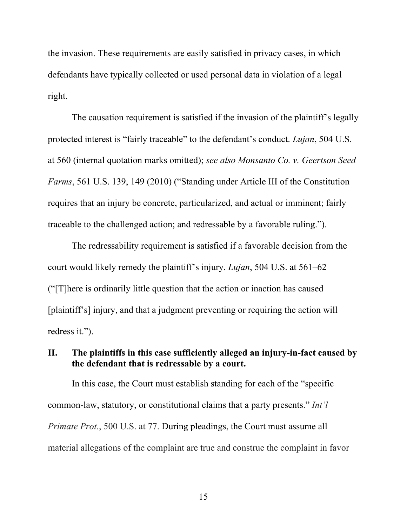the invasion. These requirements are easily satisfied in privacy cases, in which defendants have typically collected or used personal data in violation of a legal right.

The causation requirement is satisfied if the invasion of the plaintiff's legally protected interest is "fairly traceable" to the defendant's conduct. *Lujan*, 504 U.S. at 560 (internal quotation marks omitted); *see also Monsanto Co. v. Geertson Seed Farms*, 561 U.S. 139, 149 (2010) ("Standing under Article III of the Constitution requires that an injury be concrete, particularized, and actual or imminent; fairly traceable to the challenged action; and redressable by a favorable ruling.").

The redressability requirement is satisfied if a favorable decision from the court would likely remedy the plaintiff's injury. *Lujan*, 504 U.S. at 561–62 ("[T]here is ordinarily little question that the action or inaction has caused [plaintiff's] injury, and that a judgment preventing or requiring the action will redress it.").

## **II. The plaintiffs in this case sufficiently alleged an injury-in-fact caused by the defendant that is redressable by a court.**

In this case, the Court must establish standing for each of the "specific common-law, statutory, or constitutional claims that a party presents." *Int'l Primate Prot.*, 500 U.S. at 77. During pleadings, the Court must assume all material allegations of the complaint are true and construe the complaint in favor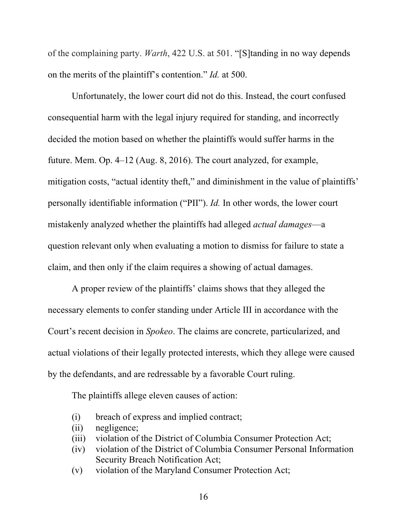of the complaining party. *Warth*, 422 U.S. at 501. "[S]tanding in no way depends on the merits of the plaintiff's contention." *Id.* at 500.

Unfortunately, the lower court did not do this. Instead, the court confused consequential harm with the legal injury required for standing, and incorrectly decided the motion based on whether the plaintiffs would suffer harms in the future. Mem. Op. 4–12 (Aug. 8, 2016). The court analyzed, for example, mitigation costs, "actual identity theft," and diminishment in the value of plaintiffs' personally identifiable information ("PII"). *Id.* In other words, the lower court mistakenly analyzed whether the plaintiffs had alleged *actual damages*—a question relevant only when evaluating a motion to dismiss for failure to state a claim, and then only if the claim requires a showing of actual damages.

A proper review of the plaintiffs' claims shows that they alleged the necessary elements to confer standing under Article III in accordance with the Court's recent decision in *Spokeo*. The claims are concrete, particularized, and actual violations of their legally protected interests, which they allege were caused by the defendants, and are redressable by a favorable Court ruling.

The plaintiffs allege eleven causes of action:

- (i) breach of express and implied contract;
- (ii) negligence;
- (iii) violation of the District of Columbia Consumer Protection Act;
- (iv) violation of the District of Columbia Consumer Personal Information Security Breach Notification Act;
- (v) violation of the Maryland Consumer Protection Act;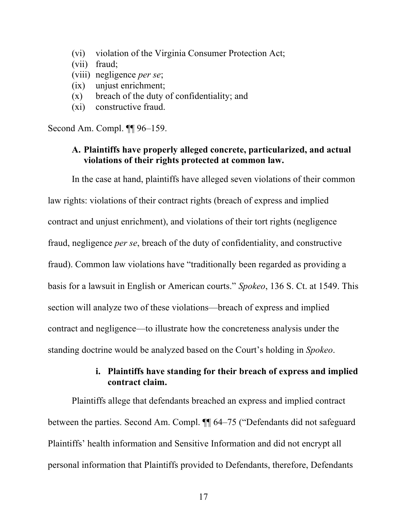- (vi) violation of the Virginia Consumer Protection Act;
- (vii) fraud;
- (viii) negligence *per se*;
- (ix) unjust enrichment;
- (x) breach of the duty of confidentiality; and
- (xi) constructive fraud.

Second Am. Compl. ¶¶ 96–159.

## **A. Plaintiffs have properly alleged concrete, particularized, and actual violations of their rights protected at common law.**

In the case at hand, plaintiffs have alleged seven violations of their common

law rights: violations of their contract rights (breach of express and implied contract and unjust enrichment), and violations of their tort rights (negligence fraud, negligence *per se*, breach of the duty of confidentiality, and constructive fraud). Common law violations have "traditionally been regarded as providing a basis for a lawsuit in English or American courts." *Spokeo*, 136 S. Ct. at 1549. This section will analyze two of these violations—breach of express and implied contract and negligence—to illustrate how the concreteness analysis under the standing doctrine would be analyzed based on the Court's holding in *Spokeo*.

# **i. Plaintiffs have standing for their breach of express and implied contract claim.**

Plaintiffs allege that defendants breached an express and implied contract between the parties. Second Am. Compl. ¶¶ 64–75 ("Defendants did not safeguard Plaintiffs' health information and Sensitive Information and did not encrypt all personal information that Plaintiffs provided to Defendants, therefore, Defendants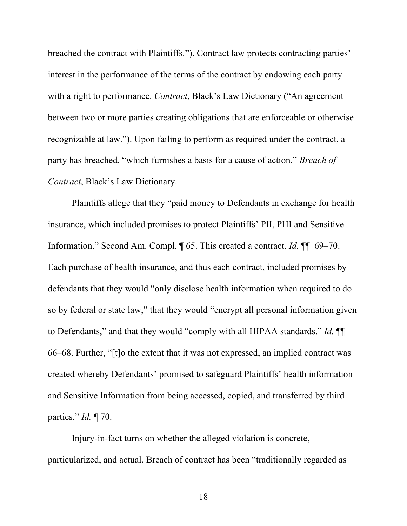breached the contract with Plaintiffs."). Contract law protects contracting parties' interest in the performance of the terms of the contract by endowing each party with a right to performance. *Contract*, Black's Law Dictionary ("An agreement between two or more parties creating obligations that are enforceable or otherwise recognizable at law."). Upon failing to perform as required under the contract, a party has breached, "which furnishes a basis for a cause of action." *Breach of Contract*, Black's Law Dictionary.

Plaintiffs allege that they "paid money to Defendants in exchange for health insurance, which included promises to protect Plaintiffs' PII, PHI and Sensitive Information." Second Am. Compl. ¶ 65. This created a contract. *Id.* ¶¶ 69–70. Each purchase of health insurance, and thus each contract, included promises by defendants that they would "only disclose health information when required to do so by federal or state law," that they would "encrypt all personal information given to Defendants," and that they would "comply with all HIPAA standards." *Id.* ¶¶ 66–68. Further, "[t]o the extent that it was not expressed, an implied contract was created whereby Defendants' promised to safeguard Plaintiffs' health information and Sensitive Information from being accessed, copied, and transferred by third parties." *Id.* ¶ 70.

Injury-in-fact turns on whether the alleged violation is concrete, particularized, and actual. Breach of contract has been "traditionally regarded as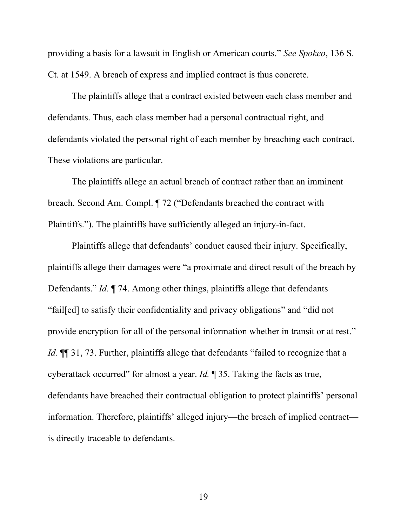providing a basis for a lawsuit in English or American courts." *See Spokeo*, 136 S. Ct. at 1549. A breach of express and implied contract is thus concrete.

The plaintiffs allege that a contract existed between each class member and defendants. Thus, each class member had a personal contractual right, and defendants violated the personal right of each member by breaching each contract. These violations are particular.

The plaintiffs allege an actual breach of contract rather than an imminent breach. Second Am. Compl. ¶ 72 ("Defendants breached the contract with Plaintiffs."). The plaintiffs have sufficiently alleged an injury-in-fact.

Plaintiffs allege that defendants' conduct caused their injury. Specifically, plaintiffs allege their damages were "a proximate and direct result of the breach by Defendants." *Id.* ¶ 74. Among other things, plaintiffs allege that defendants "fail[ed] to satisfy their confidentiality and privacy obligations" and "did not provide encryption for all of the personal information whether in transit or at rest." *Id.* **[1]** 31, 73. Further, plaintiffs allege that defendants "failed to recognize that a cyberattack occurred" for almost a year. *Id.* ¶ 35. Taking the facts as true, defendants have breached their contractual obligation to protect plaintiffs' personal information. Therefore, plaintiffs' alleged injury—the breach of implied contract is directly traceable to defendants.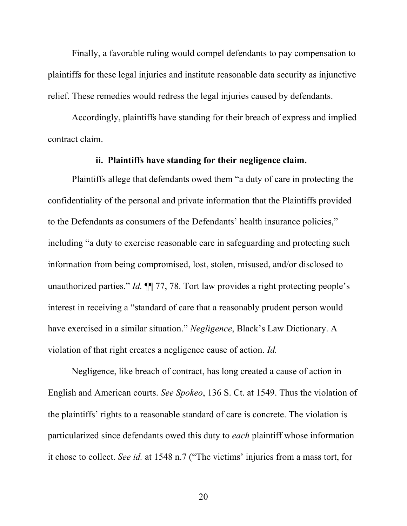Finally, a favorable ruling would compel defendants to pay compensation to plaintiffs for these legal injuries and institute reasonable data security as injunctive relief. These remedies would redress the legal injuries caused by defendants.

Accordingly, plaintiffs have standing for their breach of express and implied contract claim.

### **ii. Plaintiffs have standing for their negligence claim.**

Plaintiffs allege that defendants owed them "a duty of care in protecting the confidentiality of the personal and private information that the Plaintiffs provided to the Defendants as consumers of the Defendants' health insurance policies," including "a duty to exercise reasonable care in safeguarding and protecting such information from being compromised, lost, stolen, misused, and/or disclosed to unauthorized parties." *Id.* ¶¶ 77, 78. Tort law provides a right protecting people's interest in receiving a "standard of care that a reasonably prudent person would have exercised in a similar situation." *Negligence*, Black's Law Dictionary. A violation of that right creates a negligence cause of action. *Id.*

Negligence, like breach of contract, has long created a cause of action in English and American courts. *See Spokeo*, 136 S. Ct. at 1549. Thus the violation of the plaintiffs' rights to a reasonable standard of care is concrete. The violation is particularized since defendants owed this duty to *each* plaintiff whose information it chose to collect. *See id.* at 1548 n.7 ("The victims' injuries from a mass tort, for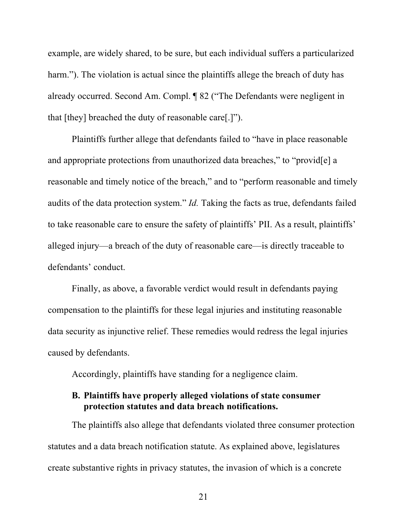example, are widely shared, to be sure, but each individual suffers a particularized harm."). The violation is actual since the plaintiffs allege the breach of duty has already occurred. Second Am. Compl. ¶ 82 ("The Defendants were negligent in that [they] breached the duty of reasonable care[.]").

Plaintiffs further allege that defendants failed to "have in place reasonable and appropriate protections from unauthorized data breaches," to "provid[e] a reasonable and timely notice of the breach," and to "perform reasonable and timely audits of the data protection system." *Id.* Taking the facts as true, defendants failed to take reasonable care to ensure the safety of plaintiffs' PII. As a result, plaintiffs' alleged injury—a breach of the duty of reasonable care—is directly traceable to defendants' conduct.

Finally, as above, a favorable verdict would result in defendants paying compensation to the plaintiffs for these legal injuries and instituting reasonable data security as injunctive relief. These remedies would redress the legal injuries caused by defendants.

Accordingly, plaintiffs have standing for a negligence claim.

# **B. Plaintiffs have properly alleged violations of state consumer protection statutes and data breach notifications.**

The plaintiffs also allege that defendants violated three consumer protection statutes and a data breach notification statute. As explained above, legislatures create substantive rights in privacy statutes, the invasion of which is a concrete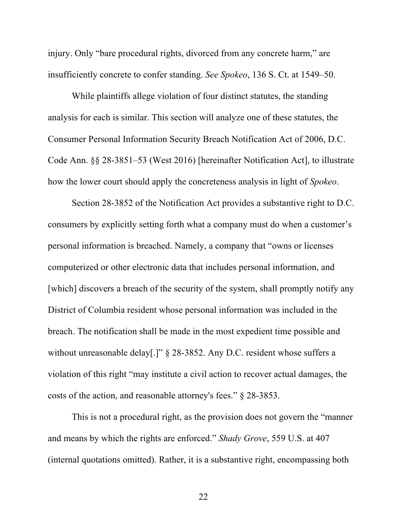injury. Only "bare procedural rights, divorced from any concrete harm," are insufficiently concrete to confer standing. *See Spokeo*, 136 S. Ct. at 1549–50.

While plaintiffs allege violation of four distinct statutes, the standing analysis for each is similar. This section will analyze one of these statutes, the Consumer Personal Information Security Breach Notification Act of 2006, D.C. Code Ann. §§ 28-3851–53 (West 2016) [hereinafter Notification Act], to illustrate how the lower court should apply the concreteness analysis in light of *Spokeo*.

Section 28-3852 of the Notification Act provides a substantive right to D.C. consumers by explicitly setting forth what a company must do when a customer's personal information is breached. Namely, a company that "owns or licenses computerized or other electronic data that includes personal information, and [which] discovers a breach of the security of the system, shall promptly notify any District of Columbia resident whose personal information was included in the breach. The notification shall be made in the most expedient time possible and without unreasonable delay[.]" § 28-3852. Any D.C. resident whose suffers a violation of this right "may institute a civil action to recover actual damages, the costs of the action, and reasonable attorney's fees." § 28-3853.

This is not a procedural right, as the provision does not govern the "manner and means by which the rights are enforced." *Shady Grove*, 559 U.S. at 407 (internal quotations omitted). Rather, it is a substantive right, encompassing both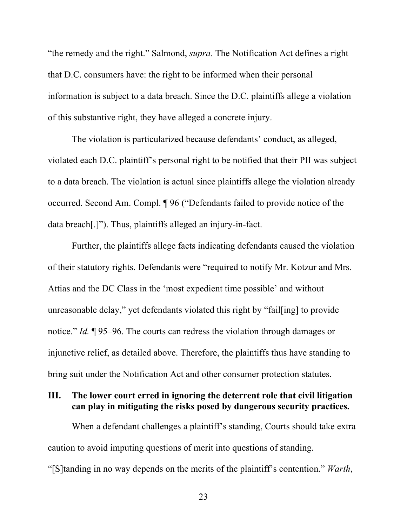"the remedy and the right." Salmond, *supra*. The Notification Act defines a right that D.C. consumers have: the right to be informed when their personal information is subject to a data breach. Since the D.C. plaintiffs allege a violation of this substantive right, they have alleged a concrete injury.

The violation is particularized because defendants' conduct, as alleged, violated each D.C. plaintiff's personal right to be notified that their PII was subject to a data breach. The violation is actual since plaintiffs allege the violation already occurred. Second Am. Compl. ¶ 96 ("Defendants failed to provide notice of the data breach[.]"). Thus, plaintiffs alleged an injury-in-fact.

Further, the plaintiffs allege facts indicating defendants caused the violation of their statutory rights. Defendants were "required to notify Mr. Kotzur and Mrs. Attias and the DC Class in the 'most expedient time possible' and without unreasonable delay," yet defendants violated this right by "fail[ing] to provide notice." *Id.* ¶ 95–96. The courts can redress the violation through damages or injunctive relief, as detailed above. Therefore, the plaintiffs thus have standing to bring suit under the Notification Act and other consumer protection statutes.

## **III. The lower court erred in ignoring the deterrent role that civil litigation can play in mitigating the risks posed by dangerous security practices.**

When a defendant challenges a plaintiff's standing, Courts should take extra caution to avoid imputing questions of merit into questions of standing. "[S]tanding in no way depends on the merits of the plaintiff's contention." *Warth*,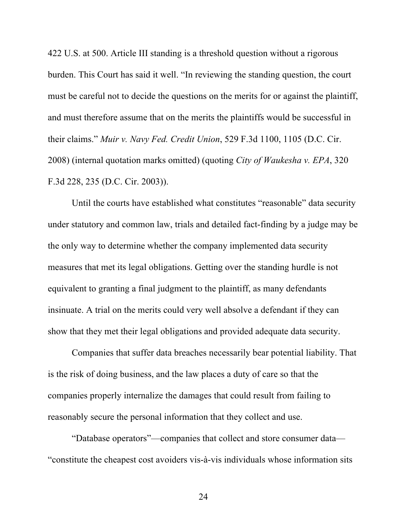422 U.S. at 500. Article III standing is a threshold question without a rigorous burden. This Court has said it well. "In reviewing the standing question, the court must be careful not to decide the questions on the merits for or against the plaintiff, and must therefore assume that on the merits the plaintiffs would be successful in their claims." *Muir v. Navy Fed. Credit Union*, 529 F.3d 1100, 1105 (D.C. Cir. 2008) (internal quotation marks omitted) (quoting *City of Waukesha v. EPA*, 320 F.3d 228, 235 (D.C. Cir. 2003)).

Until the courts have established what constitutes "reasonable" data security under statutory and common law, trials and detailed fact-finding by a judge may be the only way to determine whether the company implemented data security measures that met its legal obligations. Getting over the standing hurdle is not equivalent to granting a final judgment to the plaintiff, as many defendants insinuate. A trial on the merits could very well absolve a defendant if they can show that they met their legal obligations and provided adequate data security.

Companies that suffer data breaches necessarily bear potential liability. That is the risk of doing business, and the law places a duty of care so that the companies properly internalize the damages that could result from failing to reasonably secure the personal information that they collect and use.

"Database operators"—companies that collect and store consumer data— "constitute the cheapest cost avoiders vis-à-vis individuals whose information sits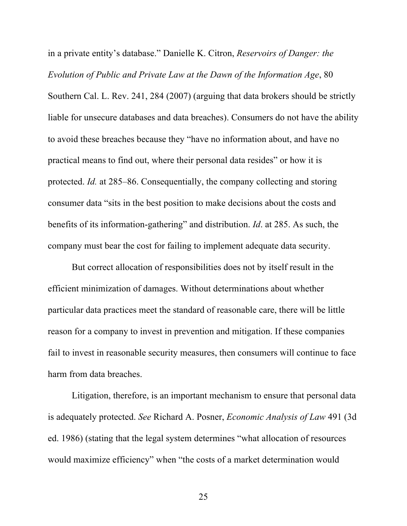in a private entity's database." Danielle K. Citron, *Reservoirs of Danger: the Evolution of Public and Private Law at the Dawn of the Information Age*, 80 Southern Cal. L. Rev. 241, 284 (2007) (arguing that data brokers should be strictly liable for unsecure databases and data breaches). Consumers do not have the ability to avoid these breaches because they "have no information about, and have no practical means to find out, where their personal data resides" or how it is protected. *Id.* at 285–86. Consequentially, the company collecting and storing consumer data "sits in the best position to make decisions about the costs and benefits of its information-gathering" and distribution. *Id*. at 285. As such, the company must bear the cost for failing to implement adequate data security.

But correct allocation of responsibilities does not by itself result in the efficient minimization of damages. Without determinations about whether particular data practices meet the standard of reasonable care, there will be little reason for a company to invest in prevention and mitigation. If these companies fail to invest in reasonable security measures, then consumers will continue to face harm from data breaches.

Litigation, therefore, is an important mechanism to ensure that personal data is adequately protected. *See* Richard A. Posner, *Economic Analysis of Law* 491 (3d ed. 1986) (stating that the legal system determines "what allocation of resources would maximize efficiency" when "the costs of a market determination would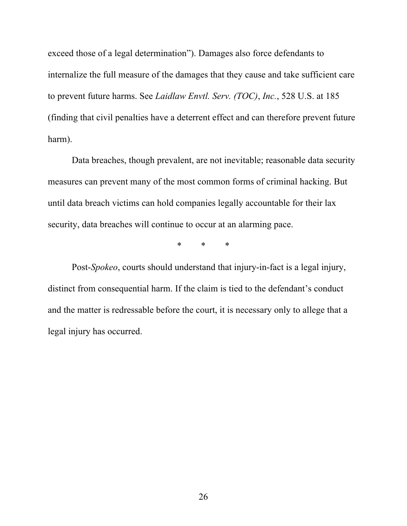exceed those of a legal determination"). Damages also force defendants to internalize the full measure of the damages that they cause and take sufficient care to prevent future harms. See *Laidlaw Envtl. Serv. (TOC)*, *Inc.*, 528 U.S. at 185 (finding that civil penalties have a deterrent effect and can therefore prevent future harm).

Data breaches, though prevalent, are not inevitable; reasonable data security measures can prevent many of the most common forms of criminal hacking. But until data breach victims can hold companies legally accountable for their lax security, data breaches will continue to occur at an alarming pace.

\* \* \*

Post-*Spokeo*, courts should understand that injury-in-fact is a legal injury, distinct from consequential harm. If the claim is tied to the defendant's conduct and the matter is redressable before the court, it is necessary only to allege that a legal injury has occurred.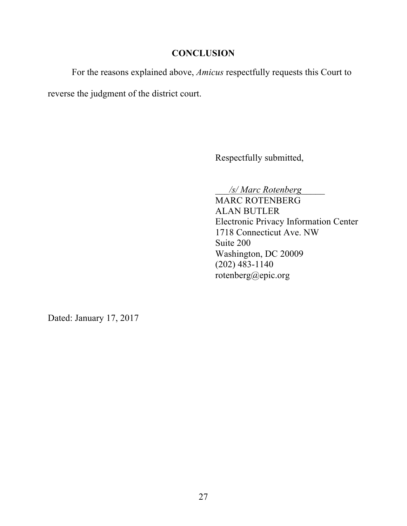## **CONCLUSION**

For the reasons explained above, *Amicus* respectfully requests this Court to

reverse the judgment of the district court.

Respectfully submitted,

\_\_\_*/s/ Marc Rotenberg*\_\_\_\_\_

MARC ROTENBERG ALAN BUTLER Electronic Privacy Information Center 1718 Connecticut Ave. NW Suite 200 Washington, DC 20009 (202) 483-1140 rotenberg@epic.org

Dated: January 17, 2017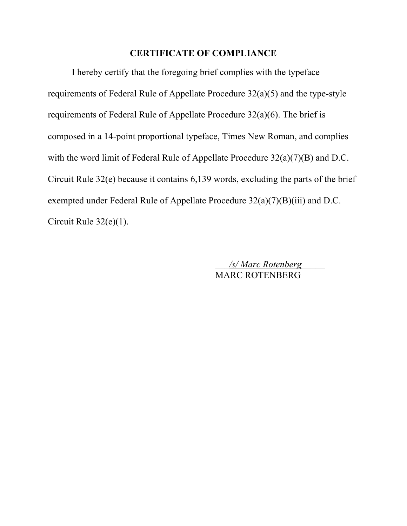## **CERTIFICATE OF COMPLIANCE**

I hereby certify that the foregoing brief complies with the typeface requirements of Federal Rule of Appellate Procedure 32(a)(5) and the type-style requirements of Federal Rule of Appellate Procedure 32(a)(6). The brief is composed in a 14-point proportional typeface, Times New Roman, and complies with the word limit of Federal Rule of Appellate Procedure  $32(a)(7)(B)$  and D.C. Circuit Rule 32(e) because it contains 6,139 words, excluding the parts of the brief exempted under Federal Rule of Appellate Procedure 32(a)(7)(B)(iii) and D.C. Circuit Rule 32(e)(1).

> \_\_\_*/s/ Marc Rotenberg*\_\_\_\_\_ MARC ROTENBERG